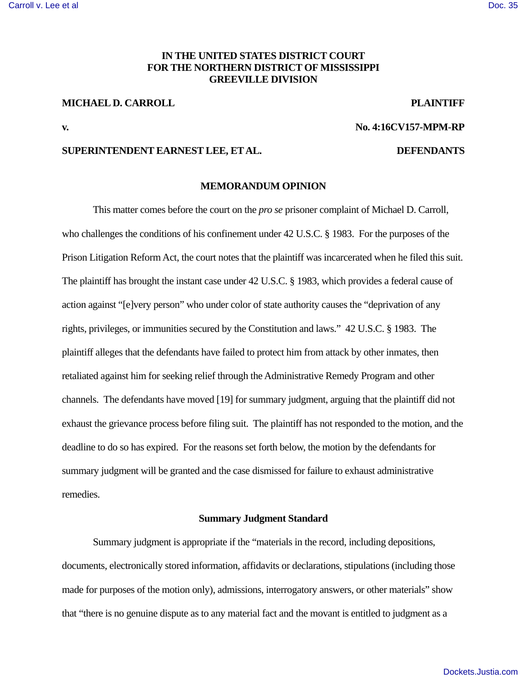# **IN THE UNITED STATES DISTRICT COURT FOR THE NORTHERN DISTRICT OF MISSISSIPPI GREEVILLE DIVISION**

### **MICHAEL D. CARROLL PLAINTIFF**

### **v. No. 4:16CV157-MPM-RP**

### **SUPERINTENDENT EARNEST LEE, ET AL. DEFENDANTS**

### **MEMORANDUM OPINION**

 This matter comes before the court on the *pro se* prisoner complaint of Michael D. Carroll, who challenges the conditions of his confinement under 42 U.S.C. § 1983. For the purposes of the Prison Litigation Reform Act, the court notes that the plaintiff was incarcerated when he filed this suit. The plaintiff has brought the instant case under 42 U.S.C. § 1983, which provides a federal cause of action against "[e]very person" who under color of state authority causes the "deprivation of any rights, privileges, or immunities secured by the Constitution and laws." 42 U.S.C. § 1983. The plaintiff alleges that the defendants have failed to protect him from attack by other inmates, then retaliated against him for seeking relief through the Administrative Remedy Program and other channels. The defendants have moved [19] for summary judgment, arguing that the plaintiff did not exhaust the grievance process before filing suit. The plaintiff has not responded to the motion, and the deadline to do so has expired. For the reasons set forth below, the motion by the defendants for summary judgment will be granted and the case dismissed for failure to exhaust administrative remedies.

# **Summary Judgment Standard**

Summary judgment is appropriate if the "materials in the record, including depositions, documents, electronically stored information, affidavits or declarations, stipulations (including those made for purposes of the motion only), admissions, interrogatory answers, or other materials" show that "there is no genuine dispute as to any material fact and the movant is entitled to judgment as a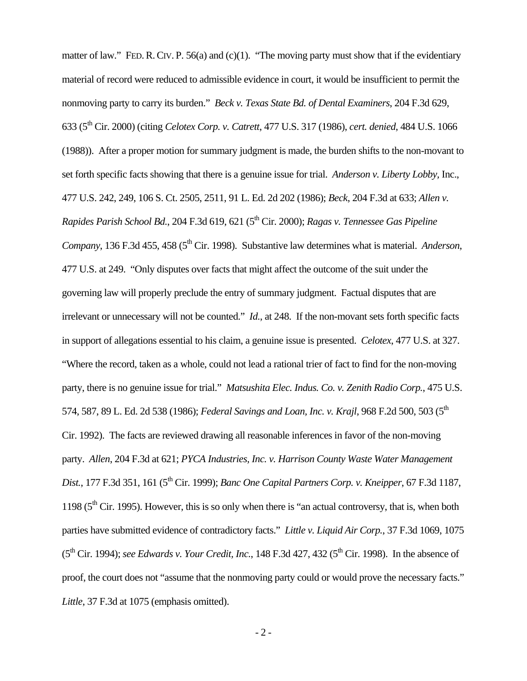matter of law." FED. R. CIV. P. 56(a) and (c)(1). "The moving party must show that if the evidentiary material of record were reduced to admissible evidence in court, it would be insufficient to permit the nonmoving party to carry its burden." *Beck v. Texas State Bd. of Dental Examiners*, 204 F.3d 629, 633 (5th Cir. 2000) (citing *Celotex Corp. v. Catrett*, 477 U.S. 317 (1986), *cert. denied*, 484 U.S. 1066 (1988)). After a proper motion for summary judgment is made, the burden shifts to the non-movant to set forth specific facts showing that there is a genuine issue for trial. *Anderson v. Liberty Lobby,* Inc., 477 U.S. 242, 249, 106 S. Ct. 2505, 2511, 91 L. Ed. 2d 202 (1986); *Beck*, 204 F.3d at 633; *Allen v. Rapides Parish School Bd.*, 204 F.3d 619, 621 (5th Cir. 2000); *Ragas v. Tennessee Gas Pipeline Company*, 136 F.3d 455, 458 (5<sup>th</sup> Cir. 1998). Substantive law determines what is material. *Anderson*, 477 U.S. at 249. "Only disputes over facts that might affect the outcome of the suit under the governing law will properly preclude the entry of summary judgment. Factual disputes that are irrelevant or unnecessary will not be counted." *Id.*, at 248. If the non-movant sets forth specific facts in support of allegations essential to his claim, a genuine issue is presented. *Celotex*, 477 U.S. at 327. "Where the record, taken as a whole, could not lead a rational trier of fact to find for the non-moving party, there is no genuine issue for trial." *Matsushita Elec. Indus. Co. v. Zenith Radio Corp.*, 475 U.S. 574, 587, 89 L. Ed. 2d 538 (1986); *Federal Savings and Loan, Inc. v. Krajl*, 968 F.2d 500, 503 (5<sup>th</sup> Cir. 1992). The facts are reviewed drawing all reasonable inferences in favor of the non-moving party. *Allen*, 204 F.3d at 621; *PYCA Industries, Inc. v. Harrison County Waste Water Management Dist.*, 177 F.3d 351, 161 (5<sup>th</sup> Cir. 1999); *Banc One Capital Partners Corp. v. Kneipper*, 67 F.3d 1187, 1198 ( $5<sup>th</sup>$  Cir. 1995). However, this is so only when there is "an actual controversy, that is, when both parties have submitted evidence of contradictory facts." *Little v. Liquid Air Corp.*, 37 F.3d 1069, 1075  $(5<sup>th</sup> Cir. 1994)$ ; *see Edwards v. Your Credit, Inc.*, 148 F.3d 427, 432 ( $5<sup>th</sup> Cir. 1998$ ). In the absence of proof, the court does not "assume that the nonmoving party could or would prove the necessary facts." *Little*, 37 F.3d at 1075 (emphasis omitted).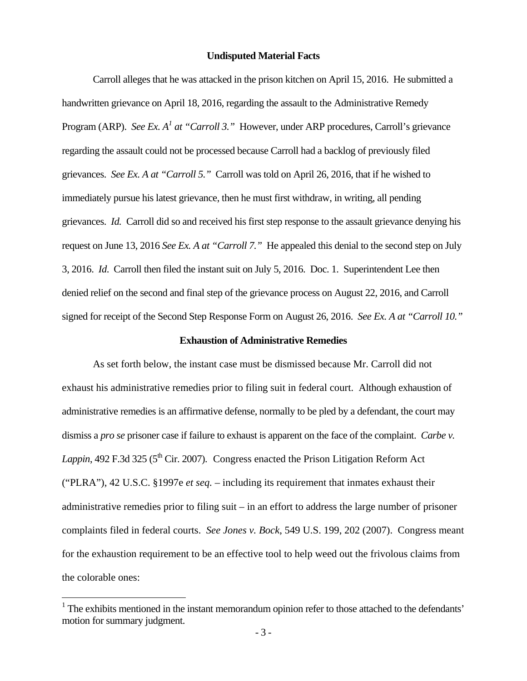### **Undisputed Material Facts**

 Carroll alleges that he was attacked in the prison kitchen on April 15, 2016. He submitted a handwritten grievance on April 18, 2016, regarding the assault to the Administrative Remedy Program (ARP). *See Ex. A<sup>1</sup> at "Carroll 3."* However, under ARP procedures, Carroll's grievance regarding the assault could not be processed because Carroll had a backlog of previously filed grievances. *See Ex. A at "Carroll 5."* Carroll was told on April 26, 2016, that if he wished to immediately pursue his latest grievance, then he must first withdraw, in writing, all pending grievances. *Id.* Carroll did so and received his first step response to the assault grievance denying his request on June 13, 2016 *See Ex. A at "Carroll 7."* He appealed this denial to the second step on July 3, 2016. *Id*. Carroll then filed the instant suit on July 5, 2016. Doc. 1. Superintendent Lee then denied relief on the second and final step of the grievance process on August 22, 2016, and Carroll signed for receipt of the Second Step Response Form on August 26, 2016. *See Ex. A at "Carroll 10."* 

## **Exhaustion of Administrative Remedies**

 As set forth below, the instant case must be dismissed because Mr. Carroll did not exhaust his administrative remedies prior to filing suit in federal court. Although exhaustion of administrative remedies is an affirmative defense, normally to be pled by a defendant, the court may dismiss a *pro se* prisoner case if failure to exhaust is apparent on the face of the complaint. *Carbe v. Lappin*, 492 F.3d 325 ( $5<sup>th</sup>$  Cir. 2007). Congress enacted the Prison Litigation Reform Act ("PLRA"), 42 U.S.C. §1997e *et seq.* – including its requirement that inmates exhaust their administrative remedies prior to filing suit – in an effort to address the large number of prisoner complaints filed in federal courts. *See Jones v. Bock*, 549 U.S. 199, 202 (2007). Congress meant for the exhaustion requirement to be an effective tool to help weed out the frivolous claims from the colorable ones:

<u>.</u>

<sup>&</sup>lt;sup>1</sup> The exhibits mentioned in the instant memorandum opinion refer to those attached to the defendants' motion for summary judgment.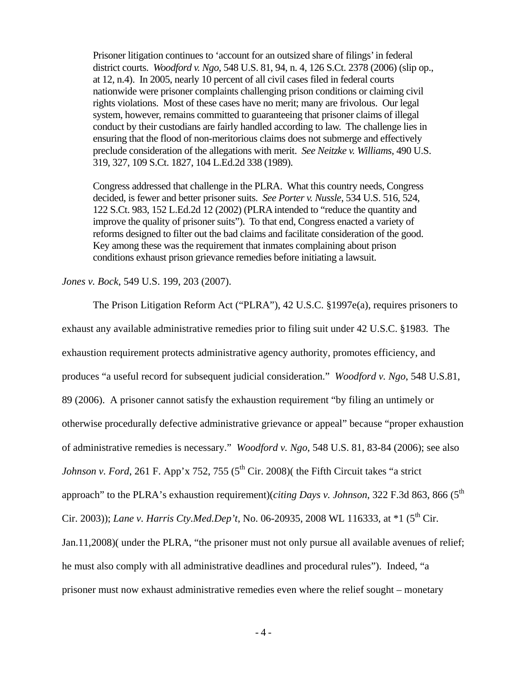Prisoner litigation continues to 'account for an outsized share of filings' in federal district courts. *Woodford v. Ngo*, 548 U.S. 81, 94, n. 4, 126 S.Ct. 2378 (2006) (slip op., at 12, n.4). In 2005, nearly 10 percent of all civil cases filed in federal courts nationwide were prisoner complaints challenging prison conditions or claiming civil rights violations. Most of these cases have no merit; many are frivolous. Our legal system, however, remains committed to guaranteeing that prisoner claims of illegal conduct by their custodians are fairly handled according to law. The challenge lies in ensuring that the flood of non-meritorious claims does not submerge and effectively preclude consideration of the allegations with merit. *See Neitzke v. Williams*, 490 U.S. 319, 327, 109 S.Ct. 1827, 104 L.Ed.2d 338 (1989).

Congress addressed that challenge in the PLRA. What this country needs, Congress decided, is fewer and better prisoner suits. *See Porter v. Nussle*, 534 U.S. 516, 524, 122 S.Ct. 983, 152 L.Ed.2d 12 (2002) (PLRA intended to "reduce the quantity and improve the quality of prisoner suits"). To that end, Congress enacted a variety of reforms designed to filter out the bad claims and facilitate consideration of the good. Key among these was the requirement that inmates complaining about prison conditions exhaust prison grievance remedies before initiating a lawsuit.

## *Jones v. Bock*, 549 U.S. 199, 203 (2007).

The Prison Litigation Reform Act ("PLRA"), 42 U.S.C. §1997e(a), requires prisoners to exhaust any available administrative remedies prior to filing suit under 42 U.S.C. §1983. The exhaustion requirement protects administrative agency authority, promotes efficiency, and produces "a useful record for subsequent judicial consideration." *Woodford v. Ngo*, 548 U.S.81, 89 (2006). A prisoner cannot satisfy the exhaustion requirement "by filing an untimely or otherwise procedurally defective administrative grievance or appeal" because "proper exhaustion of administrative remedies is necessary." *Woodford v. Ngo*, 548 U.S. 81, 83-84 (2006); see also *Johnson v. Ford*, 261 F. App'x 752, 755 ( $5<sup>th</sup>$  Cir. 2008)( the Fifth Circuit takes "a strict approach" to the PLRA's exhaustion requirement)(*citing Days v. Johnson*, 322 F.3d 863, 866 (5<sup>th</sup>) Cir. 2003)); *Lane v. Harris Cty.Med.Dep't*, No. 06-20935, 2008 WL 116333, at \*1 (5<sup>th</sup> Cir. Jan.11,2008)( under the PLRA, "the prisoner must not only pursue all available avenues of relief; he must also comply with all administrative deadlines and procedural rules"). Indeed, "a prisoner must now exhaust administrative remedies even where the relief sought – monetary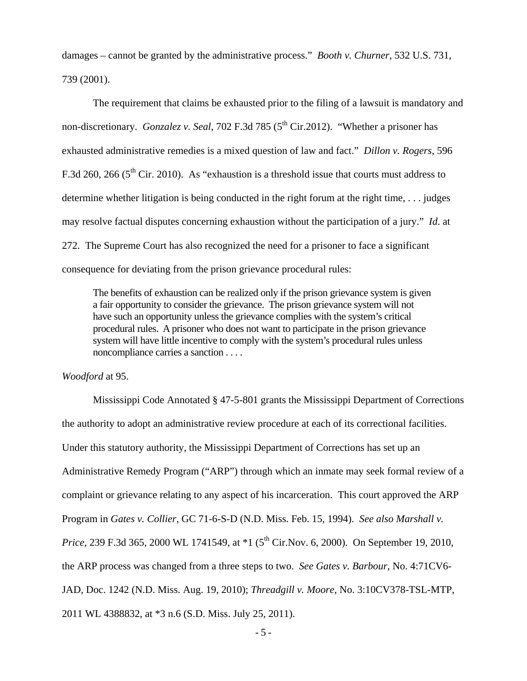damages – cannot be granted by the administrative process." *Booth v. Churner*, 532 U.S. 731, 739 (2001).

 The requirement that claims be exhausted prior to the filing of a lawsuit is mandatory and non-discretionary. *Gonzalez v. Seal*, 702 F.3d 785 (5<sup>th</sup> Cir.2012). "Whether a prisoner has exhausted administrative remedies is a mixed question of law and fact." *Dillon v. Rogers*, 596 F.3d 260, 266 ( $5<sup>th</sup>$  Cir. 2010). As "exhaustion is a threshold issue that courts must address to determine whether litigation is being conducted in the right forum at the right time, . . . judges may resolve factual disputes concerning exhaustion without the participation of a jury." *Id*. at 272. The Supreme Court has also recognized the need for a prisoner to face a significant consequence for deviating from the prison grievance procedural rules:

The benefits of exhaustion can be realized only if the prison grievance system is given a fair opportunity to consider the grievance. The prison grievance system will not have such an opportunity unless the grievance complies with the system's critical procedural rules. A prisoner who does not want to participate in the prison grievance system will have little incentive to comply with the system's procedural rules unless noncompliance carries a sanction . . . .

### *Woodford* at 95.

Mississippi Code Annotated § 47-5-801 grants the Mississippi Department of Corrections the authority to adopt an administrative review procedure at each of its correctional facilities. Under this statutory authority, the Mississippi Department of Corrections has set up an Administrative Remedy Program ("ARP") through which an inmate may seek formal review of a complaint or grievance relating to any aspect of his incarceration. This court approved the ARP Program in *Gates v. Collier*, GC 71-6-S-D (N.D. Miss. Feb. 15, 1994). *See also Marshall v. Price*, 239 F.3d 365, 2000 WL 1741549, at \*1 (5<sup>th</sup> Cir.Nov. 6, 2000). On September 19, 2010, the ARP process was changed from a three steps to two. *See Gates v. Barbour*, No. 4:71CV6- JAD, Doc. 1242 (N.D. Miss. Aug. 19, 2010); *Threadgill v. Moore*, No. 3:10CV378-TSL-MTP, 2011 WL 4388832, at \*3 n.6 (S.D. Miss. July 25, 2011).

- 5 -